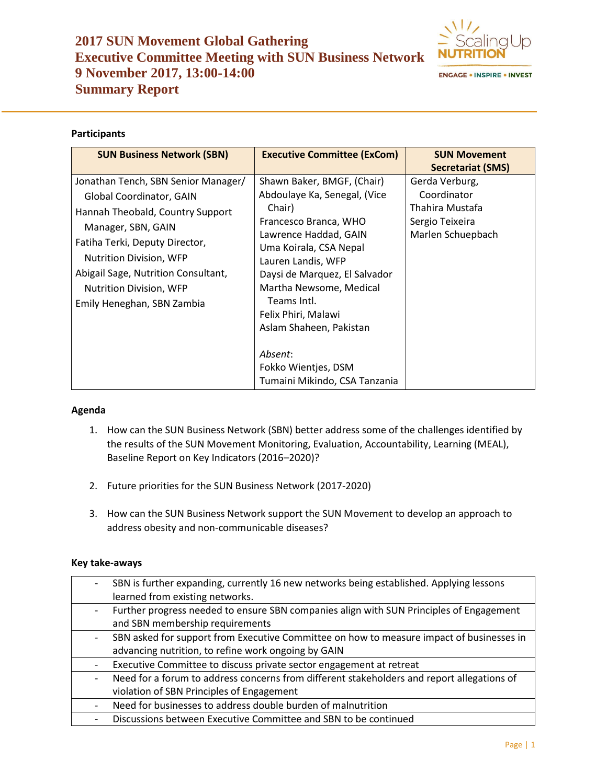# **2017 SUN Movement Global Gathering Executive Committee Meeting with SUN Business Network 9 November 2017, 13:00-14:00 Summary Report**



**ENGAGE . INSPIRE . INVEST** 

### **Participants**

| <b>SUN Business Network (SBN)</b>                                     | <b>Executive Committee (ExCom)</b>                       | <b>SUN Movement</b>                                     |  |
|-----------------------------------------------------------------------|----------------------------------------------------------|---------------------------------------------------------|--|
|                                                                       |                                                          | <b>Secretariat (SMS)</b>                                |  |
| Jonathan Tench, SBN Senior Manager/                                   | Shawn Baker, BMGF, (Chair)                               | Gerda Verburg,                                          |  |
| Global Coordinator, GAIN                                              | Abdoulaye Ka, Senegal, (Vice                             | Coordinator                                             |  |
| Hannah Theobald, Country Support                                      | Chair)<br>Francesco Branca, WHO<br>Lawrence Haddad, GAIN | Thahira Mustafa<br>Sergio Teixeira<br>Marlen Schuepbach |  |
| Manager, SBN, GAIN                                                    |                                                          |                                                         |  |
| Fatiha Terki, Deputy Director,                                        |                                                          |                                                         |  |
| <b>Nutrition Division, WFP</b><br>Abigail Sage, Nutrition Consultant, | Uma Koirala, CSA Nepal                                   |                                                         |  |
|                                                                       | Lauren Landis, WFP                                       |                                                         |  |
|                                                                       | Daysi de Marquez, El Salvador                            |                                                         |  |
| Nutrition Division, WFP                                               | Martha Newsome, Medical<br>Teams Intl.                   |                                                         |  |
| Emily Heneghan, SBN Zambia                                            | Felix Phiri, Malawi                                      |                                                         |  |
|                                                                       | Aslam Shaheen, Pakistan                                  |                                                         |  |
|                                                                       |                                                          |                                                         |  |
|                                                                       | Absent:                                                  |                                                         |  |
|                                                                       | Fokko Wientjes, DSM                                      |                                                         |  |
|                                                                       | Tumaini Mikindo, CSA Tanzania                            |                                                         |  |

#### **Agenda**

- 1. How can the SUN Business Network (SBN) better address some of the challenges identified by the results of the SUN Movement Monitoring, Evaluation, Accountability, Learning (MEAL), Baseline Report on Key Indicators (2016–2020)?
- 2. Future priorities for the SUN Business Network (2017-2020)
- 3. How can the SUN Business Network support the SUN Movement to develop an approach to address obesity and non-communicable diseases?

#### **Key take-aways**

| SBN is further expanding, currently 16 new networks being established. Applying lessons    |
|--------------------------------------------------------------------------------------------|
| learned from existing networks.                                                            |
| Further progress needed to ensure SBN companies align with SUN Principles of Engagement    |
| and SBN membership requirements                                                            |
| SBN asked for support from Executive Committee on how to measure impact of businesses in   |
| advancing nutrition, to refine work ongoing by GAIN                                        |
| Executive Committee to discuss private sector engagement at retreat                        |
| Need for a forum to address concerns from different stakeholders and report allegations of |
| violation of SBN Principles of Engagement                                                  |
| Need for businesses to address double burden of malnutrition                               |
| Discussions between Executive Committee and SBN to be continued                            |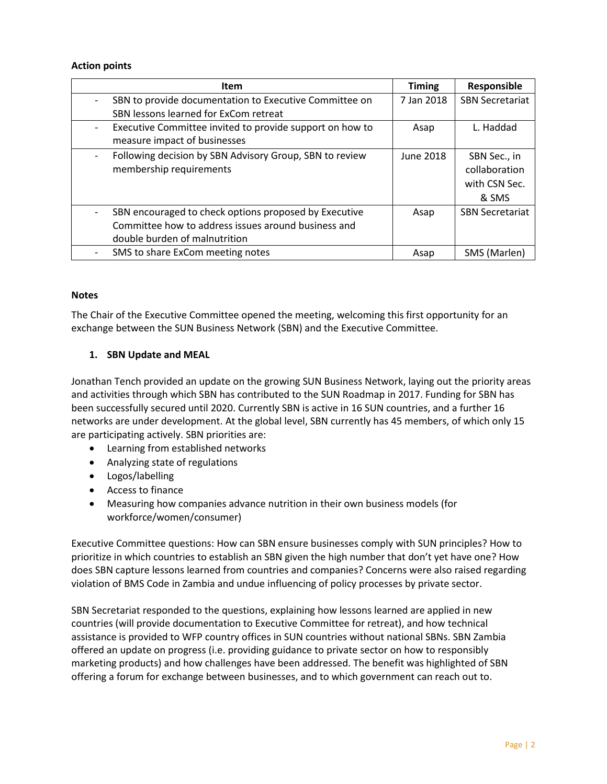#### **Action points**

| <b>Item</b>                                              | <b>Timing</b> | Responsible            |
|----------------------------------------------------------|---------------|------------------------|
| SBN to provide documentation to Executive Committee on   | 7 Jan 2018    | <b>SBN Secretariat</b> |
| SBN lessons learned for ExCom retreat                    |               |                        |
| Executive Committee invited to provide support on how to | Asap          | L. Haddad              |
| measure impact of businesses                             |               |                        |
| Following decision by SBN Advisory Group, SBN to review  | June 2018     | SBN Sec., in           |
| membership requirements                                  |               | collaboration          |
|                                                          |               | with CSN Sec.          |
|                                                          |               | & SMS                  |
| SBN encouraged to check options proposed by Executive    | Asap          | <b>SBN Secretariat</b> |
| Committee how to address issues around business and      |               |                        |
| double burden of malnutrition                            |               |                        |
| SMS to share ExCom meeting notes                         | Asap          | SMS (Marlen)           |

#### **Notes**

The Chair of the Executive Committee opened the meeting, welcoming this first opportunity for an exchange between the SUN Business Network (SBN) and the Executive Committee.

#### **1. SBN Update and MEAL**

Jonathan Tench provided an update on the growing SUN Business Network, laying out the priority areas and activities through which SBN has contributed to the SUN Roadmap in 2017. Funding for SBN has been successfully secured until 2020. Currently SBN is active in 16 SUN countries, and a further 16 networks are under development. At the global level, SBN currently has 45 members, of which only 15 are participating actively. SBN priorities are:

- Learning from established networks
- Analyzing state of regulations
- Logos/labelling
- Access to finance
- Measuring how companies advance nutrition in their own business models (for workforce/women/consumer)

Executive Committee questions: How can SBN ensure businesses comply with SUN principles? How to prioritize in which countries to establish an SBN given the high number that don't yet have one? How does SBN capture lessons learned from countries and companies? Concerns were also raised regarding violation of BMS Code in Zambia and undue influencing of policy processes by private sector.

SBN Secretariat responded to the questions, explaining how lessons learned are applied in new countries (will provide documentation to Executive Committee for retreat), and how technical assistance is provided to WFP country offices in SUN countries without national SBNs. SBN Zambia offered an update on progress (i.e. providing guidance to private sector on how to responsibly marketing products) and how challenges have been addressed. The benefit was highlighted of SBN offering a forum for exchange between businesses, and to which government can reach out to.